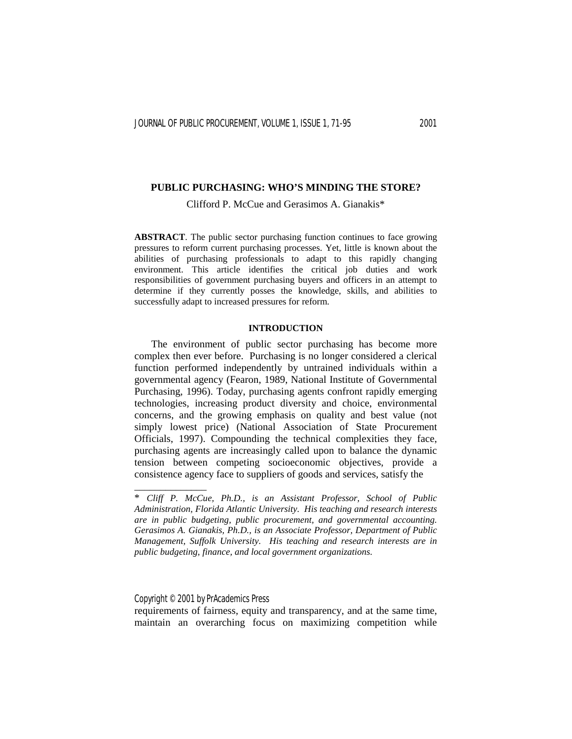Clifford P. McCue and Gerasimos A. Gianakis\*

**ABSTRACT**. The public sector purchasing function continues to face growing pressures to reform current purchasing processes. Yet, little is known about the abilities of purchasing professionals to adapt to this rapidly changing environment. This article identifies the critical job duties and work responsibilities of government purchasing buyers and officers in an attempt to determine if they currently posses the knowledge, skills, and abilities to successfully adapt to increased pressures for reform.

# **INTRODUCTION**

 The environment of public sector purchasing has become more complex then ever before. Purchasing is no longer considered a clerical function performed independently by untrained individuals within a governmental agency (Fearon, 1989, National Institute of Governmental Purchasing, 1996). Today, purchasing agents confront rapidly emerging technologies, increasing product diversity and choice, environmental concerns, and the growing emphasis on quality and best value (not simply lowest price) (National Association of State Procurement Officials, 1997). Compounding the technical complexities they face, purchasing agents are increasingly called upon to balance the dynamic tension between competing socioeconomic objectives, provide a consistence agency face to suppliers of goods and services, satisfy the

Copyright © 2001 by PrAcademics Press

\_\_\_\_\_\_\_\_\_\_\_\_\_\_

requirements of fairness, equity and transparency, and at the same time, maintain an overarching focus on maximizing competition while

<sup>\*</sup> *Cliff P. McCue, Ph.D., is an Assistant Professor, School of Public Administration, Florida Atlantic University. His teaching and research interests are in public budgeting, public procurement, and governmental accounting. Gerasimos A. Gianakis, Ph.D., is an Associate Professor, Department of Public Management, Suffolk University. His teaching and research interests are in public budgeting, finance, and local government organizations.*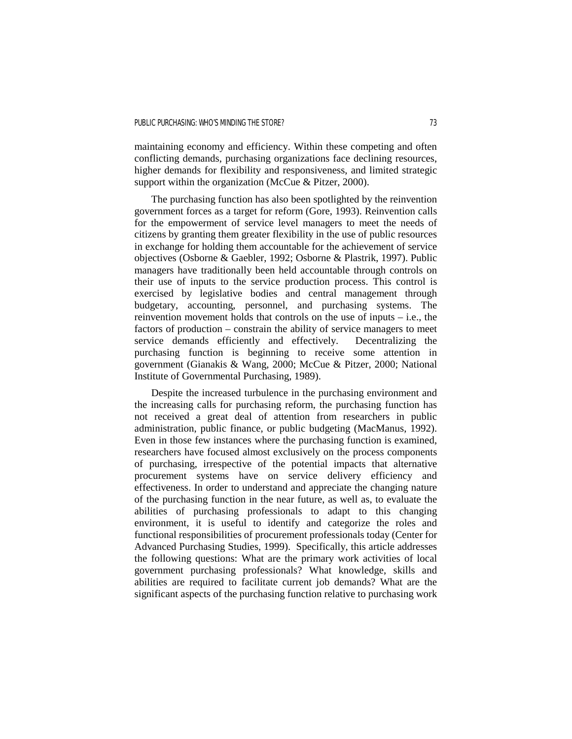maintaining economy and efficiency. Within these competing and often conflicting demands, purchasing organizations face declining resources, higher demands for flexibility and responsiveness, and limited strategic support within the organization (McCue & Pitzer, 2000).

 The purchasing function has also been spotlighted by the reinvention government forces as a target for reform (Gore, 1993). Reinvention calls for the empowerment of service level managers to meet the needs of citizens by granting them greater flexibility in the use of public resources in exchange for holding them accountable for the achievement of service objectives (Osborne & Gaebler, 1992; Osborne & Plastrik, 1997). Public managers have traditionally been held accountable through controls on their use of inputs to the service production process. This control is exercised by legislative bodies and central management through budgetary, accounting, personnel, and purchasing systems. The reinvention movement holds that controls on the use of inputs  $-$  i.e., the factors of production – constrain the ability of service managers to meet service demands efficiently and effectively. Decentralizing the purchasing function is beginning to receive some attention in government (Gianakis & Wang, 2000; McCue & Pitzer, 2000; National Institute of Governmental Purchasing, 1989).

 Despite the increased turbulence in the purchasing environment and the increasing calls for purchasing reform, the purchasing function has not received a great deal of attention from researchers in public administration, public finance, or public budgeting (MacManus, 1992). Even in those few instances where the purchasing function is examined, researchers have focused almost exclusively on the process components of purchasing, irrespective of the potential impacts that alternative procurement systems have on service delivery efficiency and effectiveness. In order to understand and appreciate the changing nature of the purchasing function in the near future, as well as, to evaluate the abilities of purchasing professionals to adapt to this changing environment, it is useful to identify and categorize the roles and functional responsibilities of procurement professionals today (Center for Advanced Purchasing Studies, 1999). Specifically, this article addresses the following questions: What are the primary work activities of local government purchasing professionals? What knowledge, skills and abilities are required to facilitate current job demands? What are the significant aspects of the purchasing function relative to purchasing work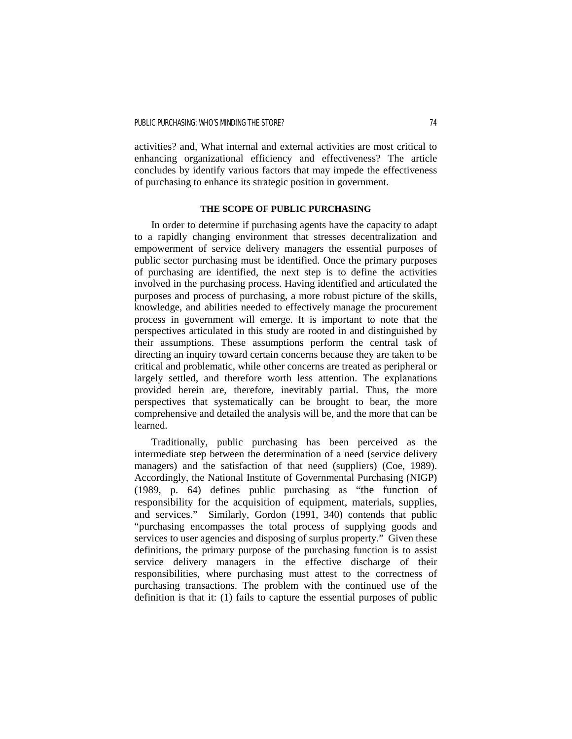activities? and, What internal and external activities are most critical to enhancing organizational efficiency and effectiveness? The article concludes by identify various factors that may impede the effectiveness of purchasing to enhance its strategic position in government.

# **THE SCOPE OF PUBLIC PURCHASING**

 In order to determine if purchasing agents have the capacity to adapt to a rapidly changing environment that stresses decentralization and empowerment of service delivery managers the essential purposes of public sector purchasing must be identified. Once the primary purposes of purchasing are identified, the next step is to define the activities involved in the purchasing process. Having identified and articulated the purposes and process of purchasing, a more robust picture of the skills, knowledge, and abilities needed to effectively manage the procurement process in government will emerge. It is important to note that the perspectives articulated in this study are rooted in and distinguished by their assumptions. These assumptions perform the central task of directing an inquiry toward certain concerns because they are taken to be critical and problematic, while other concerns are treated as peripheral or largely settled, and therefore worth less attention. The explanations provided herein are, therefore, inevitably partial. Thus, the more perspectives that systematically can be brought to bear, the more comprehensive and detailed the analysis will be, and the more that can be learned.

 Traditionally, public purchasing has been perceived as the intermediate step between the determination of a need (service delivery managers) and the satisfaction of that need (suppliers) (Coe, 1989). Accordingly, the National Institute of Governmental Purchasing (NIGP) (1989, p. 64) defines public purchasing as "the function of responsibility for the acquisition of equipment, materials, supplies, and services." Similarly, Gordon (1991, 340) contends that public "purchasing encompasses the total process of supplying goods and services to user agencies and disposing of surplus property." Given these definitions, the primary purpose of the purchasing function is to assist service delivery managers in the effective discharge of their responsibilities, where purchasing must attest to the correctness of purchasing transactions. The problem with the continued use of the definition is that it: (1) fails to capture the essential purposes of public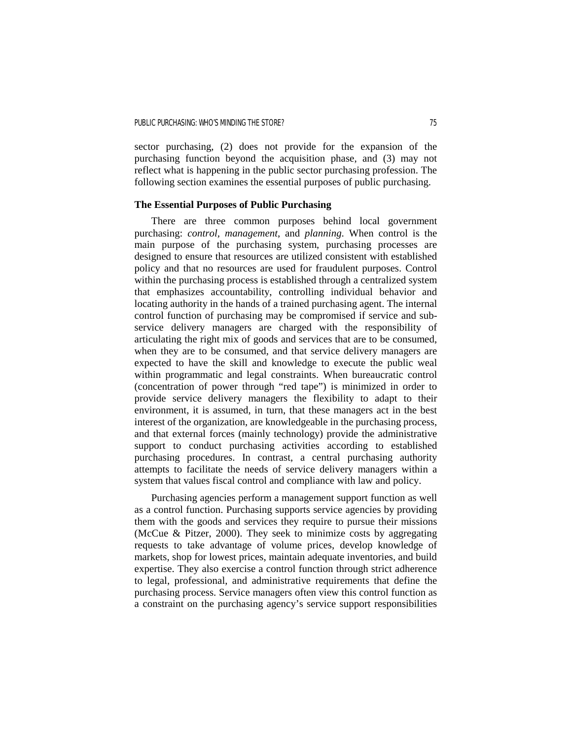sector purchasing, (2) does not provide for the expansion of the purchasing function beyond the acquisition phase, and (3) may not reflect what is happening in the public sector purchasing profession. The following section examines the essential purposes of public purchasing.

# **The Essential Purposes of Public Purchasing**

 There are three common purposes behind local government purchasing: *control, management*, and *planning*. When control is the main purpose of the purchasing system, purchasing processes are designed to ensure that resources are utilized consistent with established policy and that no resources are used for fraudulent purposes. Control within the purchasing process is established through a centralized system that emphasizes accountability, controlling individual behavior and locating authority in the hands of a trained purchasing agent. The internal control function of purchasing may be compromised if service and subservice delivery managers are charged with the responsibility of articulating the right mix of goods and services that are to be consumed, when they are to be consumed, and that service delivery managers are expected to have the skill and knowledge to execute the public weal within programmatic and legal constraints. When bureaucratic control (concentration of power through "red tape") is minimized in order to provide service delivery managers the flexibility to adapt to their environment, it is assumed, in turn, that these managers act in the best interest of the organization, are knowledgeable in the purchasing process, and that external forces (mainly technology) provide the administrative support to conduct purchasing activities according to established purchasing procedures. In contrast, a central purchasing authority attempts to facilitate the needs of service delivery managers within a system that values fiscal control and compliance with law and policy.

 Purchasing agencies perform a management support function as well as a control function. Purchasing supports service agencies by providing them with the goods and services they require to pursue their missions (McCue & Pitzer, 2000). They seek to minimize costs by aggregating requests to take advantage of volume prices, develop knowledge of markets, shop for lowest prices, maintain adequate inventories, and build expertise. They also exercise a control function through strict adherence to legal, professional, and administrative requirements that define the purchasing process. Service managers often view this control function as a constraint on the purchasing agency's service support responsibilities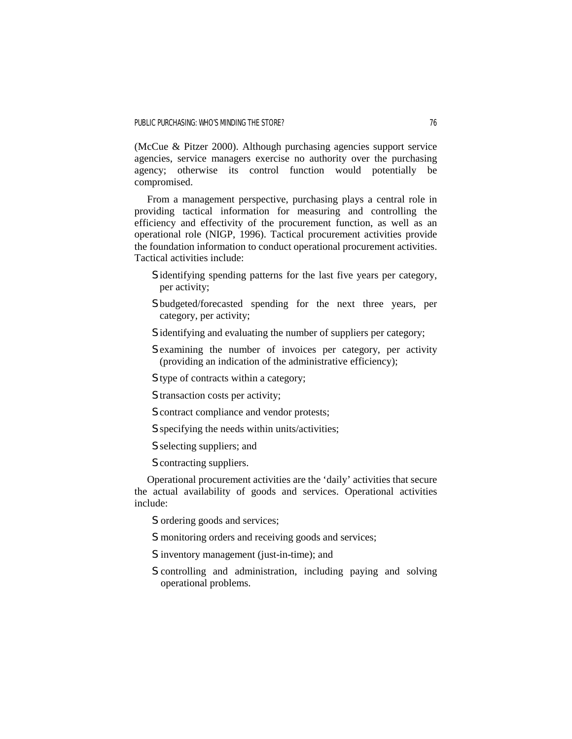(McCue & Pitzer 2000). Although purchasing agencies support service agencies, service managers exercise no authority over the purchasing agency; otherwise its control function would potentially be compromised.

 From a management perspective, purchasing plays a central role in providing tactical information for measuring and controlling the efficiency and effectivity of the procurement function, as well as an operational role (NIGP, 1996). Tactical procurement activities provide the foundation information to conduct operational procurement activities. Tactical activities include:

- S identifying spending patterns for the last five years per category, per activity;
- S budgeted/forecasted spending for the next three years, per category, per activity;
- S identifying and evaluating the number of suppliers per category;
- S examining the number of invoices per category, per activity (providing an indication of the administrative efficiency);
- S type of contracts within a category;
- S transaction costs per activity;
- S contract compliance and vendor protests;
- S specifying the needs within units/activities;
- S selecting suppliers; and
- S contracting suppliers.

 Operational procurement activities are the 'daily' activities that secure the actual availability of goods and services. Operational activities include:

- S ordering goods and services;
- S monitoring orders and receiving goods and services;
- S inventory management (just-in-time); and
- S controlling and administration, including paying and solving operational problems.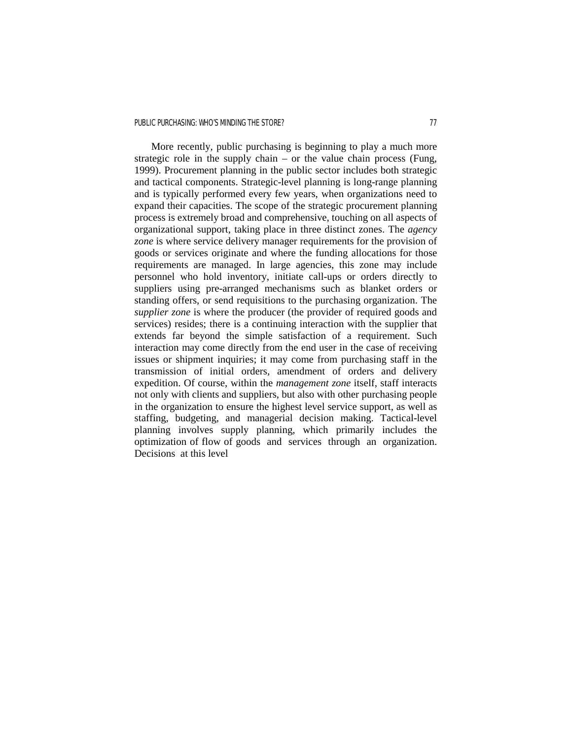# PUBLIC PURCHASING: WHO'S MINDING THE STORE? THE STORE RESIDENCE AND THE STORE RESIDENCE AND THE STORE RESIDENCE.

 More recently, public purchasing is beginning to play a much more strategic role in the supply chain – or the value chain process (Fung, 1999). Procurement planning in the public sector includes both strategic and tactical components. Strategic-level planning is long-range planning and is typically performed every few years, when organizations need to expand their capacities. The scope of the strategic procurement planning process is extremely broad and comprehensive, touching on all aspects of organizational support, taking place in three distinct zones. The *agency zone* is where service delivery manager requirements for the provision of goods or services originate and where the funding allocations for those requirements are managed. In large agencies, this zone may include personnel who hold inventory, initiate call-ups or orders directly to suppliers using pre-arranged mechanisms such as blanket orders or standing offers, or send requisitions to the purchasing organization. The *supplier zone* is where the producer (the provider of required goods and services) resides; there is a continuing interaction with the supplier that extends far beyond the simple satisfaction of a requirement. Such interaction may come directly from the end user in the case of receiving issues or shipment inquiries; it may come from purchasing staff in the transmission of initial orders, amendment of orders and delivery expedition. Of course, within the *management zone* itself, staff interacts not only with clients and suppliers, but also with other purchasing people in the organization to ensure the highest level service support, as well as staffing, budgeting, and managerial decision making. Tactical-level planning involves supply planning, which primarily includes the optimization of flow of goods and services through an organization. Decisions at this level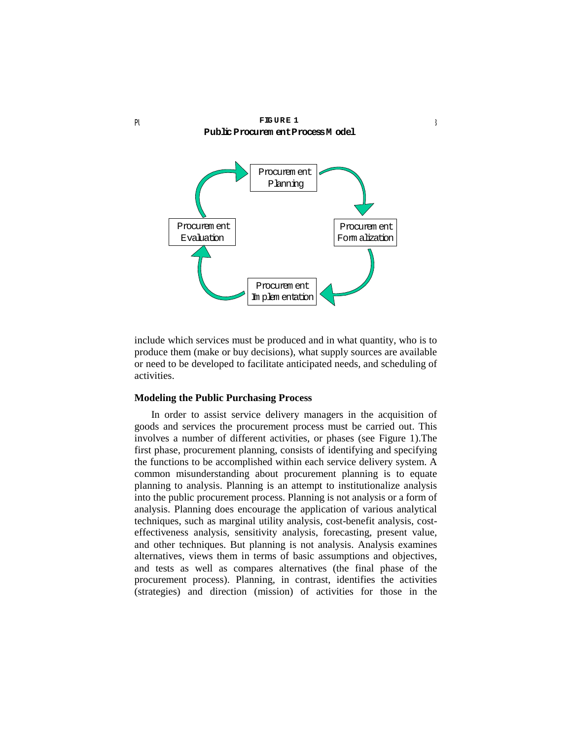

**FIG U R E 1**

include which services must be produced and in what quantity, who is to produce them (make or buy decisions), what supply sources are available or need to be developed to facilitate anticipated needs, and scheduling of activities.

# **Modeling the Public Purchasing Process**

 In order to assist service delivery managers in the acquisition of goods and services the procurement process must be carried out. This involves a number of different activities, or phases (see Figure 1).The first phase, procurement planning, consists of identifying and specifying the functions to be accomplished within each service delivery system. A common misunderstanding about procurement planning is to equate planning to analysis. Planning is an attempt to institutionalize analysis into the public procurement process. Planning is not analysis or a form of analysis. Planning does encourage the application of various analytical techniques, such as marginal utility analysis, cost-benefit analysis, costeffectiveness analysis, sensitivity analysis, forecasting, present value, and other techniques. But planning is not analysis. Analysis examines alternatives, views them in terms of basic assumptions and objectives, and tests as well as compares alternatives (the final phase of the procurement process). Planning, in contrast, identifies the activities (strategies) and direction (mission) of activities for those in the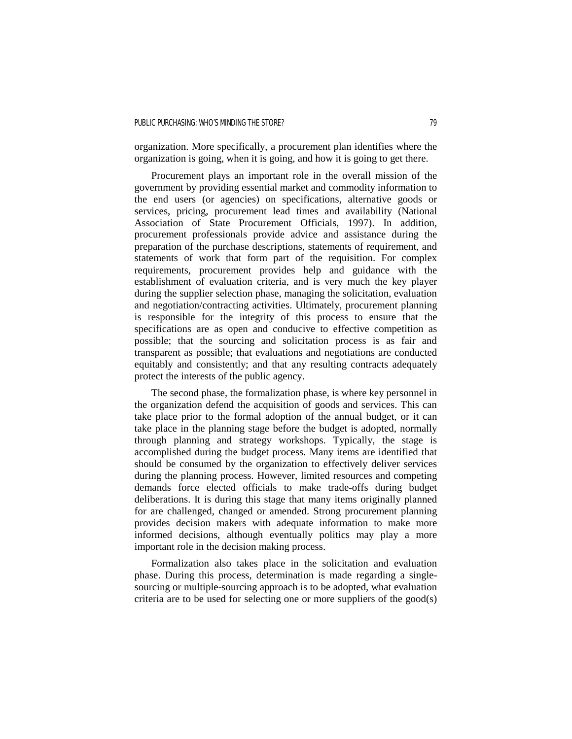organization. More specifically, a procurement plan identifies where the organization is going, when it is going, and how it is going to get there.

 Procurement plays an important role in the overall mission of the government by providing essential market and commodity information to the end users (or agencies) on specifications, alternative goods or services, pricing, procurement lead times and availability (National Association of State Procurement Officials, 1997). In addition, procurement professionals provide advice and assistance during the preparation of the purchase descriptions, statements of requirement, and statements of work that form part of the requisition. For complex requirements, procurement provides help and guidance with the establishment of evaluation criteria, and is very much the key player during the supplier selection phase, managing the solicitation, evaluation and negotiation/contracting activities. Ultimately, procurement planning is responsible for the integrity of this process to ensure that the specifications are as open and conducive to effective competition as possible; that the sourcing and solicitation process is as fair and transparent as possible; that evaluations and negotiations are conducted equitably and consistently; and that any resulting contracts adequately protect the interests of the public agency.

 The second phase, the formalization phase, is where key personnel in the organization defend the acquisition of goods and services. This can take place prior to the formal adoption of the annual budget, or it can take place in the planning stage before the budget is adopted, normally through planning and strategy workshops. Typically, the stage is accomplished during the budget process. Many items are identified that should be consumed by the organization to effectively deliver services during the planning process. However, limited resources and competing demands force elected officials to make trade-offs during budget deliberations. It is during this stage that many items originally planned for are challenged, changed or amended. Strong procurement planning provides decision makers with adequate information to make more informed decisions, although eventually politics may play a more important role in the decision making process.

 Formalization also takes place in the solicitation and evaluation phase. During this process, determination is made regarding a singlesourcing or multiple-sourcing approach is to be adopted, what evaluation criteria are to be used for selecting one or more suppliers of the good(s)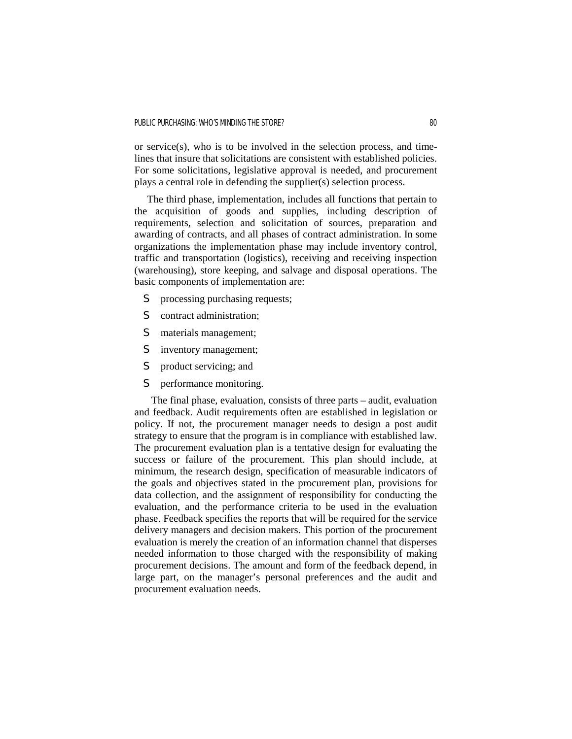or service(s), who is to be involved in the selection process, and timelines that insure that solicitations are consistent with established policies. For some solicitations, legislative approval is needed, and procurement plays a central role in defending the supplier(s) selection process.

 The third phase, implementation, includes all functions that pertain to the acquisition of goods and supplies, including description of requirements, selection and solicitation of sources, preparation and awarding of contracts, and all phases of contract administration. In some organizations the implementation phase may include inventory control, traffic and transportation (logistics), receiving and receiving inspection (warehousing), store keeping, and salvage and disposal operations. The basic components of implementation are:

- S processing purchasing requests;
- S contract administration;
- S materials management;
- S inventory management;
- S product servicing; and
- S performance monitoring.

 The final phase, evaluation, consists of three parts – audit, evaluation and feedback. Audit requirements often are established in legislation or policy. If not, the procurement manager needs to design a post audit strategy to ensure that the program is in compliance with established law. The procurement evaluation plan is a tentative design for evaluating the success or failure of the procurement. This plan should include, at minimum, the research design, specification of measurable indicators of the goals and objectives stated in the procurement plan, provisions for data collection, and the assignment of responsibility for conducting the evaluation, and the performance criteria to be used in the evaluation phase. Feedback specifies the reports that will be required for the service delivery managers and decision makers. This portion of the procurement evaluation is merely the creation of an information channel that disperses needed information to those charged with the responsibility of making procurement decisions. The amount and form of the feedback depend, in large part, on the manager's personal preferences and the audit and procurement evaluation needs.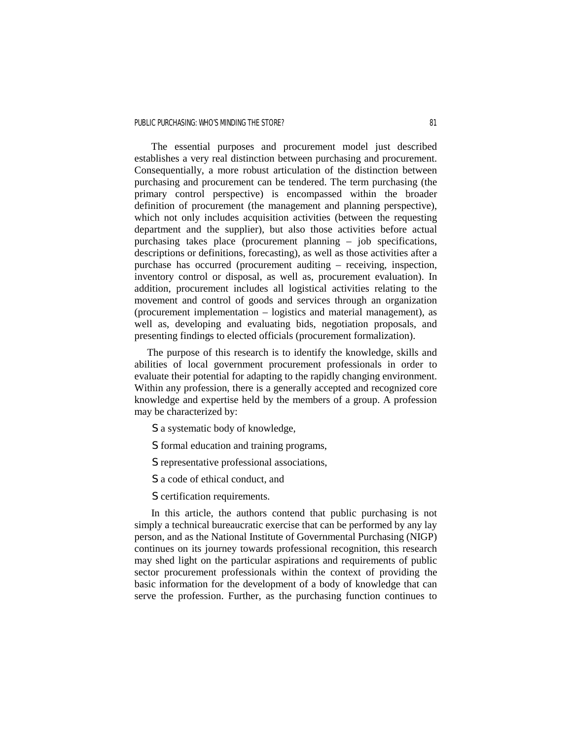The essential purposes and procurement model just described establishes a very real distinction between purchasing and procurement. Consequentially, a more robust articulation of the distinction between purchasing and procurement can be tendered. The term purchasing (the primary control perspective) is encompassed within the broader definition of procurement (the management and planning perspective), which not only includes acquisition activities (between the requesting department and the supplier), but also those activities before actual purchasing takes place (procurement planning – job specifications, descriptions or definitions, forecasting), as well as those activities after a purchase has occurred (procurement auditing – receiving, inspection, inventory control or disposal, as well as, procurement evaluation). In addition, procurement includes all logistical activities relating to the movement and control of goods and services through an organization (procurement implementation – logistics and material management), as well as, developing and evaluating bids, negotiation proposals, and presenting findings to elected officials (procurement formalization).

 The purpose of this research is to identify the knowledge, skills and abilities of local government procurement professionals in order to evaluate their potential for adapting to the rapidly changing environment. Within any profession, there is a generally accepted and recognized core knowledge and expertise held by the members of a group. A profession may be characterized by:

- S a systematic body of knowledge,
- S formal education and training programs,
- S representative professional associations,
- S a code of ethical conduct, and
- S certification requirements.

 In this article, the authors contend that public purchasing is not simply a technical bureaucratic exercise that can be performed by any lay person, and as the National Institute of Governmental Purchasing (NIGP) continues on its journey towards professional recognition, this research may shed light on the particular aspirations and requirements of public sector procurement professionals within the context of providing the basic information for the development of a body of knowledge that can serve the profession. Further, as the purchasing function continues to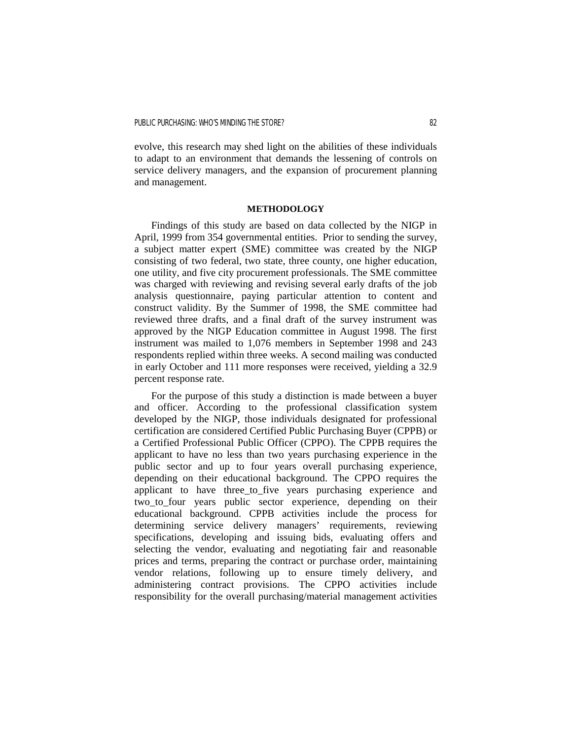evolve, this research may shed light on the abilities of these individuals to adapt to an environment that demands the lessening of controls on service delivery managers, and the expansion of procurement planning and management.

### **METHODOLOGY**

 Findings of this study are based on data collected by the NIGP in April, 1999 from 354 governmental entities. Prior to sending the survey, a subject matter expert (SME) committee was created by the NIGP consisting of two federal, two state, three county, one higher education, one utility, and five city procurement professionals. The SME committee was charged with reviewing and revising several early drafts of the job analysis questionnaire, paying particular attention to content and construct validity. By the Summer of 1998, the SME committee had reviewed three drafts, and a final draft of the survey instrument was approved by the NIGP Education committee in August 1998. The first instrument was mailed to 1,076 members in September 1998 and 243 respondents replied within three weeks. A second mailing was conducted in early October and 111 more responses were received, yielding a 32.9 percent response rate.

 For the purpose of this study a distinction is made between a buyer and officer. According to the professional classification system developed by the NIGP, those individuals designated for professional certification are considered Certified Public Purchasing Buyer (CPPB) or a Certified Professional Public Officer (CPPO). The CPPB requires the applicant to have no less than two years purchasing experience in the public sector and up to four years overall purchasing experience, depending on their educational background. The CPPO requires the applicant to have three to five years purchasing experience and two\_to\_four years public sector experience, depending on their educational background. CPPB activities include the process for determining service delivery managers' requirements, reviewing specifications, developing and issuing bids, evaluating offers and selecting the vendor, evaluating and negotiating fair and reasonable prices and terms, preparing the contract or purchase order, maintaining vendor relations, following up to ensure timely delivery, and administering contract provisions. The CPPO activities include responsibility for the overall purchasing/material management activities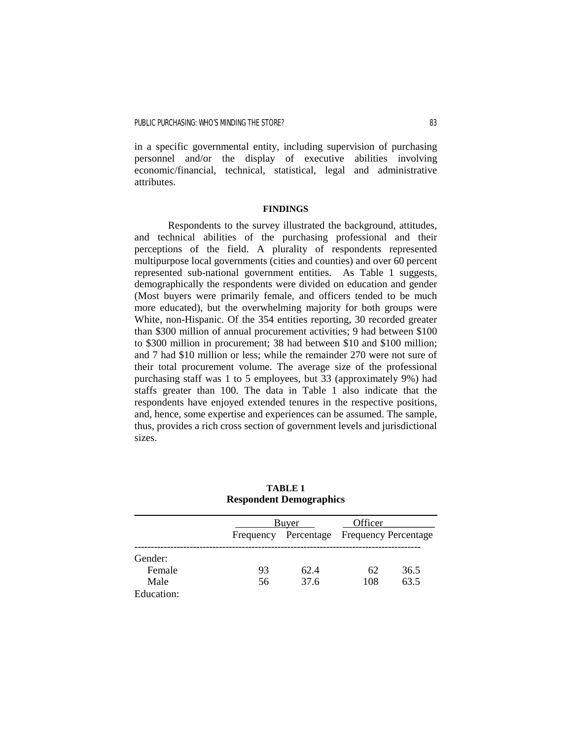in a specific governmental entity, including supervision of purchasing personnel and/or the display of executive abilities involving economic/financial, technical, statistical, legal and administrative attributes.

### **FINDINGS**

 Respondents to the survey illustrated the background, attitudes, and technical abilities of the purchasing professional and their perceptions of the field. A plurality of respondents represented multipurpose local governments (cities and counties) and over 60 percent represented sub-national government entities. As Table 1 suggests, demographically the respondents were divided on education and gender (Most buyers were primarily female, and officers tended to be much more educated), but the overwhelming majority for both groups were White, non-Hispanic. Of the 354 entities reporting, 30 recorded greater than \$300 million of annual procurement activities; 9 had between \$100 to \$300 million in procurement; 38 had between \$10 and \$100 million; and 7 had \$10 million or less; while the remainder 270 were not sure of their total procurement volume. The average size of the professional purchasing staff was 1 to 5 employees, but 33 (approximately 9%) had staffs greater than 100. The data in Table 1 also indicate that the respondents have enjoyed extended tenures in the respective positions, and, hence, some expertise and experiences can be assumed. The sample, thus, provides a rich cross section of government levels and jurisdictional sizes.

| <b>Respondent Demographics</b> |                  |            |                             |      |  |  |  |
|--------------------------------|------------------|------------|-----------------------------|------|--|--|--|
|                                | Officer<br>Buyer |            |                             |      |  |  |  |
|                                | Frequency        | Percentage | <b>Frequency Percentage</b> |      |  |  |  |
| Gender:                        |                  |            |                             |      |  |  |  |
| Female                         | 93               | 62.4       | 62                          | 36.5 |  |  |  |
| Male                           | 56               | 37.6       | 108                         | 63.5 |  |  |  |
| Education:                     |                  |            |                             |      |  |  |  |

# **TABLE 1**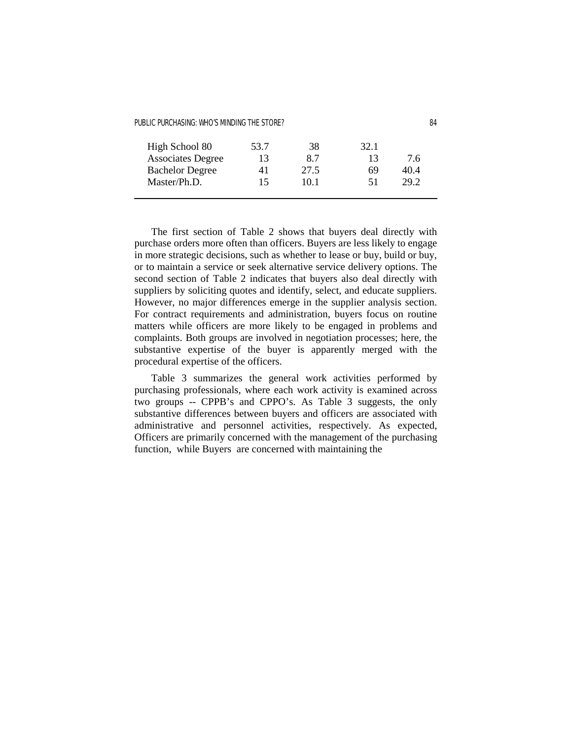| High School 80           | 53.7 | 38   | 32.1 |      |
|--------------------------|------|------|------|------|
| <b>Associates Degree</b> | 13   | 87   | 13   | 7.6  |
| <b>Bachelor Degree</b>   | 41   | 27.5 | 69   | 40.4 |
| Master/Ph.D.             | 15.  | 10 1 | 51   | 29.2 |
|                          |      |      |      |      |

 The first section of Table 2 shows that buyers deal directly with purchase orders more often than officers. Buyers are less likely to engage in more strategic decisions, such as whether to lease or buy, build or buy, or to maintain a service or seek alternative service delivery options. The second section of Table 2 indicates that buyers also deal directly with suppliers by soliciting quotes and identify, select, and educate suppliers. However, no major differences emerge in the supplier analysis section. For contract requirements and administration, buyers focus on routine matters while officers are more likely to be engaged in problems and complaints. Both groups are involved in negotiation processes; here, the substantive expertise of the buyer is apparently merged with the procedural expertise of the officers.

 Table 3 summarizes the general work activities performed by purchasing professionals, where each work activity is examined across two groups -- CPPB's and CPPO's. As Table 3 suggests, the only substantive differences between buyers and officers are associated with administrative and personnel activities, respectively. As expected, Officers are primarily concerned with the management of the purchasing function, while Buyers are concerned with maintaining the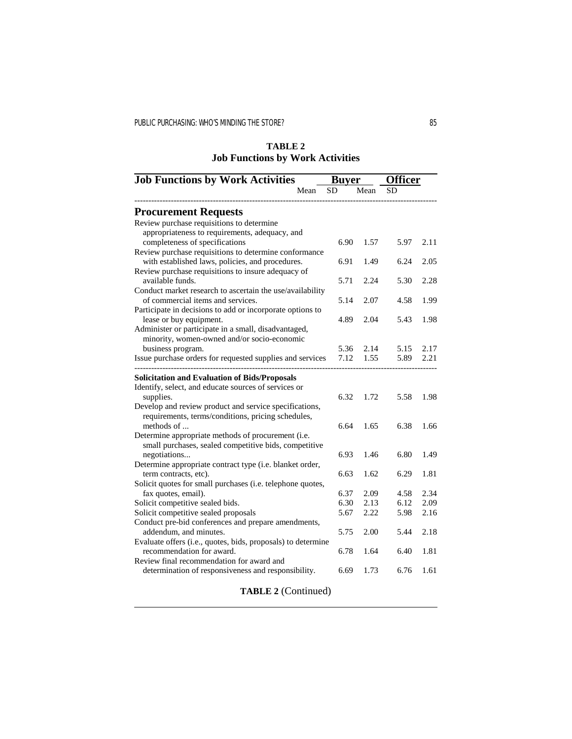# **TABLE 2 Job Functions by Work Activities**

| <b>Job Functions by Work Activities</b>                                                                     |           | <b>Buver</b> | <b>Officer</b> |      |
|-------------------------------------------------------------------------------------------------------------|-----------|--------------|----------------|------|
| Mean                                                                                                        | <b>SD</b> | Mean         | SD             |      |
| <b>Procurement Requests</b>                                                                                 |           |              |                |      |
| Review purchase requisitions to determine                                                                   |           |              |                |      |
| appropriateness to requirements, adequacy, and<br>completeness of specifications                            | 6.90      | 1.57         | 5.97           | 2.11 |
| Review purchase requisitions to determine conformance                                                       |           |              |                |      |
| with established laws, policies, and procedures.<br>Review purchase requisitions to insure adequacy of      | 6.91      | 1.49         | 6.24           | 2.05 |
| available funds.                                                                                            | 5.71      | 2.24         | 5.30           | 2.28 |
| Conduct market research to ascertain the use/availability                                                   |           |              |                |      |
| of commercial items and services.<br>Participate in decisions to add or incorporate options to              | 5.14      | 2.07         | 4.58           | 1.99 |
| lease or buy equipment.                                                                                     | 4.89      | 2.04         | 5.43           | 1.98 |
| Administer or participate in a small, disadvantaged,<br>minority, women-owned and/or socio-economic         |           |              |                |      |
| business program.                                                                                           | 5.36      | 2.14         | 5.15           | 2.17 |
| Issue purchase orders for requested supplies and services                                                   | 7.12      | 1.55         | 5.89           | 2.21 |
| <b>Solicitation and Evaluation of Bids/Proposals</b>                                                        |           |              |                |      |
| Identify, select, and educate sources of services or                                                        |           |              |                |      |
| supplies.<br>Develop and review product and service specifications,                                         | 6.32      | 1.72         | 5.58           | 1.98 |
| requirements, terms/conditions, pricing schedules,                                                          |           |              |                |      |
| methods of                                                                                                  | 6.64      | 1.65         | 6.38           | 1.66 |
| Determine appropriate methods of procurement (i.e.<br>small purchases, sealed competitive bids, competitive |           |              |                |      |
| negotiations                                                                                                | 6.93      | 1.46         | 6.80           | 1.49 |
| Determine appropriate contract type (i.e. blanket order,                                                    |           |              |                |      |
| term contracts, etc).<br>Solicit quotes for small purchases (i.e. telephone quotes,                         | 6.63      | 1.62         | 6.29           | 1.81 |
| fax quotes, email).                                                                                         | 6.37      | 2.09         | 4.58           | 2.34 |
| Solicit competitive sealed bids.                                                                            | 6.30      | 2.13         | 6.12           | 2.09 |
| Solicit competitive sealed proposals                                                                        | 5.67      | 2.22         | 5.98           | 2.16 |
| Conduct pre-bid conferences and prepare amendments,<br>addendum, and minutes.                               | 5.75      | 2.00         | 5.44           | 2.18 |
| Evaluate offers (i.e., quotes, bids, proposals) to determine                                                |           |              |                |      |
| recommendation for award.                                                                                   | 6.78      | 1.64         | 6.40           | 1.81 |
| Review final recommendation for award and<br>determination of responsiveness and responsibility.            | 6.69      | 1.73         | 6.76           | 1.61 |
|                                                                                                             |           |              |                |      |

**TABLE 2** (Continued)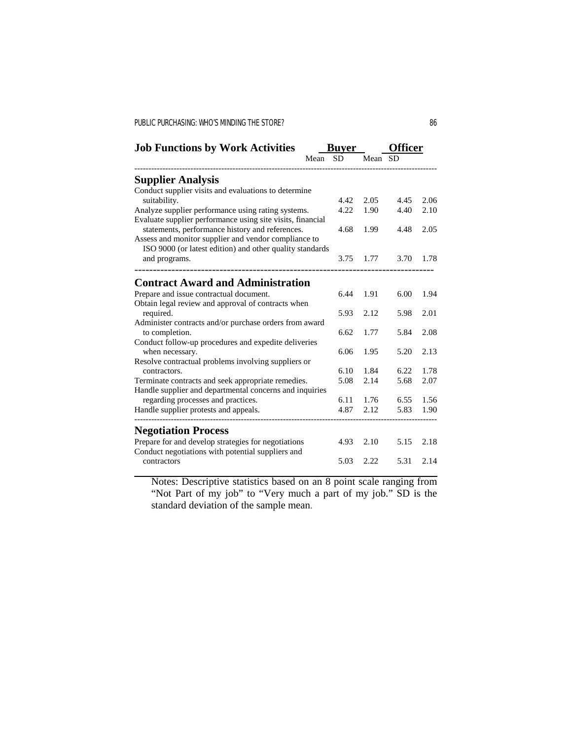| <b>Job Functions by Work Activities</b>                         | Buver |           |         | <b>fficer</b> |      |
|-----------------------------------------------------------------|-------|-----------|---------|---------------|------|
|                                                                 | Mean  | <b>SD</b> | Mean SD |               |      |
| <b>Supplier Analysis</b>                                        |       |           |         |               |      |
| Conduct supplier visits and evaluations to determine            |       |           |         |               |      |
| suitability.                                                    |       | 4.42      | 2.05    | 4.45          | 2.06 |
| Analyze supplier performance using rating systems.              |       | 4.22      | 1.90    | 4.40          | 2.10 |
| Evaluate supplier performance using site visits, financial      |       |           |         |               |      |
| statements, performance history and references.                 |       | 4.68      | 1.99    | 4.48          | 2.05 |
| Assess and monitor supplier and vendor compliance to            |       |           |         |               |      |
| ISO 9000 (or latest edition) and other quality standards        |       |           |         |               |      |
| and programs.                                                   |       | 3.75      | 1.77    | 3.70          | 1.78 |
|                                                                 |       |           |         |               |      |
| <b>Contract Award and Administration</b>                        |       |           |         |               |      |
| Prepare and issue contractual document.                         |       | 6.44      | 1.91    | 6.00          | 1.94 |
| Obtain legal review and approval of contracts when<br>required. |       | 5.93      | 2.12    | 5.98          | 2.01 |
| Administer contracts and/or purchase orders from award          |       |           |         |               |      |
| to completion.                                                  |       | 6.62      | 1.77    | 5.84          | 2.08 |
| Conduct follow-up procedures and expedite deliveries            |       |           |         |               |      |
| when necessary.                                                 |       | 6.06      | 1.95    | 5.20          | 2.13 |
| Resolve contractual problems involving suppliers or             |       |           |         |               |      |
| contractors.                                                    |       | 6.10      | 1.84    | 6.22          | 1.78 |
| Terminate contracts and seek appropriate remedies.              |       | 5.08      | 2.14    | 5.68          | 2.07 |
| Handle supplier and departmental concerns and inquiries         |       |           |         |               |      |
| regarding processes and practices.                              |       | 6.11      | 1.76    | 6.55          | 1.56 |
| Handle supplier protests and appeals.                           |       | 4.87      | 2.12    | 5.83          | 1.90 |
| <b>Negotiation Process</b>                                      |       |           |         |               |      |
| Prepare for and develop strategies for negotiations             |       | 4.93      | 2.10    | 5.15          | 2.18 |
| Conduct negotiations with potential suppliers and               |       |           |         |               |      |
| contractors                                                     |       | 5.03      | 2.22    | 5.31          | 2.14 |
|                                                                 |       |           |         |               |      |

Notes: Descriptive statistics based on an 8 point scale ranging from "Not Part of my job" to "Very much a part of my job." SD is the standard deviation of the sample mean.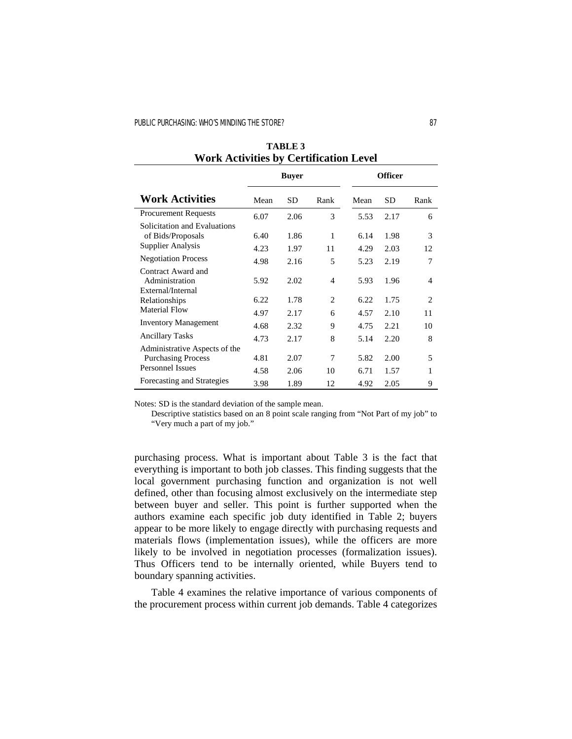|                                                            |      | <b>Buyer</b> |                             |      | <b>Officer</b> |                |
|------------------------------------------------------------|------|--------------|-----------------------------|------|----------------|----------------|
| <b>Work Activities</b>                                     | Mean | <b>SD</b>    | Rank                        | Mean | <b>SD</b>      | Rank           |
| <b>Procurement Requests</b>                                | 6.07 | 2.06         | 3                           | 5.53 | 2.17           | 6              |
| Solicitation and Evaluations<br>of Bids/Proposals          | 6.40 | 1.86         | 1                           | 6.14 | 1.98           | 3              |
| <b>Supplier Analysis</b>                                   | 4.23 | 1.97         | 11                          | 4.29 | 2.03           | 12             |
| <b>Negotiation Process</b>                                 | 4.98 | 2.16         | 5                           | 5.23 | 2.19           | 7              |
| Contract Award and<br>Administration                       | 5.92 | 2.02         | 4                           | 5.93 | 1.96           | 4              |
| External/Internal<br>Relationships                         | 6.22 | 1.78         | $\mathcal{D}_{\mathcal{L}}$ | 6.22 | 1.75           | $\overline{c}$ |
| Material Flow                                              | 4.97 | 2.17         | 6                           | 4.57 | 2.10           | 11             |
| <b>Inventory Management</b>                                | 4.68 | 2.32         | 9                           | 4.75 | 2.21           | 10             |
| <b>Ancillary Tasks</b>                                     | 4.73 | 2.17         | 8                           | 5.14 | 2.20           | 8              |
| Administrative Aspects of the<br><b>Purchasing Process</b> | 4.81 | 2.07         | 7                           | 5.82 | 2.00           | 5              |
| <b>Personnel Issues</b>                                    | 4.58 | 2.06         | 10                          | 6.71 | 1.57           | 1              |
| Forecasting and Strategies                                 | 3.98 | 1.89         | 12                          | 4.92 | 2.05           | 9              |

**TABLE 3 Work Activities by Certification Level**

Notes: SD is the standard deviation of the sample mean.

Descriptive statistics based on an 8 point scale ranging from "Not Part of my job" to "Very much a part of my job."

purchasing process. What is important about Table 3 is the fact that everything is important to both job classes. This finding suggests that the local government purchasing function and organization is not well defined, other than focusing almost exclusively on the intermediate step between buyer and seller. This point is further supported when the authors examine each specific job duty identified in Table 2; buyers appear to be more likely to engage directly with purchasing requests and materials flows (implementation issues), while the officers are more likely to be involved in negotiation processes (formalization issues). Thus Officers tend to be internally oriented, while Buyers tend to boundary spanning activities.

 Table 4 examines the relative importance of various components of the procurement process within current job demands. Table 4 categorizes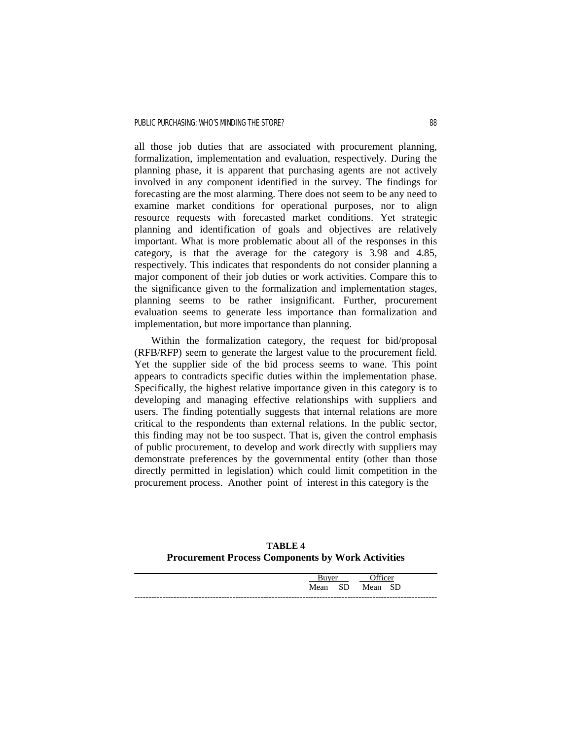all those job duties that are associated with procurement planning, formalization, implementation and evaluation, respectively. During the planning phase, it is apparent that purchasing agents are not actively involved in any component identified in the survey. The findings for forecasting are the most alarming. There does not seem to be any need to examine market conditions for operational purposes, nor to align resource requests with forecasted market conditions. Yet strategic planning and identification of goals and objectives are relatively important. What is more problematic about all of the responses in this category, is that the average for the category is 3.98 and 4.85, respectively. This indicates that respondents do not consider planning a major component of their job duties or work activities. Compare this to the significance given to the formalization and implementation stages, planning seems to be rather insignificant. Further, procurement evaluation seems to generate less importance than formalization and implementation, but more importance than planning.

 Within the formalization category, the request for bid/proposal (RFB/RFP) seem to generate the largest value to the procurement field. Yet the supplier side of the bid process seems to wane. This point appears to contradicts specific duties within the implementation phase. Specifically, the highest relative importance given in this category is to developing and managing effective relationships with suppliers and users. The finding potentially suggests that internal relations are more critical to the respondents than external relations. In the public sector, this finding may not be too suspect. That is, given the control emphasis of public procurement, to develop and work directly with suppliers may demonstrate preferences by the governmental entity (other than those directly permitted in legislation) which could limit competition in the procurement process. Another point of interest in this category is the

**TABLE 4 Procurement Process Components by Work Activities**

|      |           | $\sim$ cc $\sim$ | $\alpha$ r |
|------|-----------|------------------|------------|
| Mean | <b>SD</b> |                  | SD         |
|      |           |                  |            |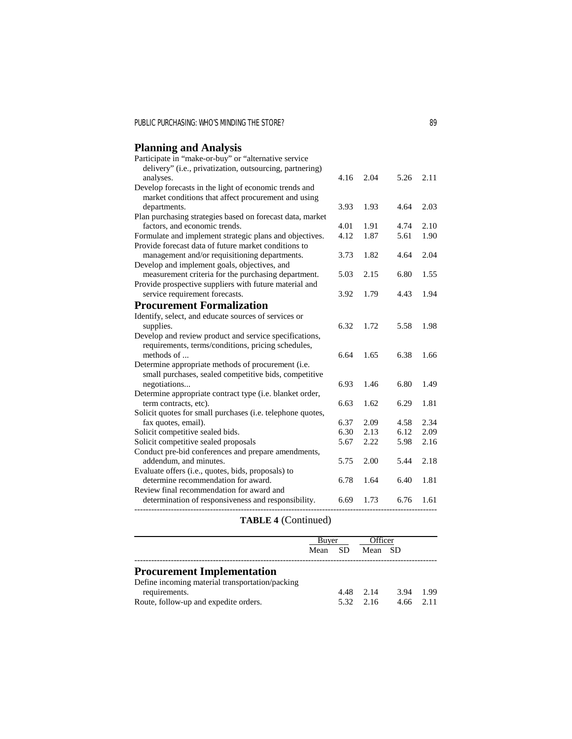# **Planning and Analysis**

| Participate in "make-or-buy" or "alternative service       |      |      |      |      |
|------------------------------------------------------------|------|------|------|------|
| delivery" (i.e., privatization, outsourcing, partnering)   |      |      |      |      |
| analyses.                                                  | 4.16 | 2.04 | 5.26 | 2.11 |
| Develop forecasts in the light of economic trends and      |      |      |      |      |
| market conditions that affect procurement and using        |      |      |      |      |
| departments.                                               | 3.93 | 1.93 | 4.64 | 2.03 |
| Plan purchasing strategies based on forecast data, market  |      |      |      |      |
| factors, and economic trends.                              | 4.01 | 1.91 | 4.74 | 2.10 |
| Formulate and implement strategic plans and objectives.    | 4.12 | 1.87 | 5.61 | 1.90 |
| Provide forecast data of future market conditions to       |      |      |      |      |
| management and/or requisitioning departments.              | 3.73 | 1.82 | 4.64 | 2.04 |
| Develop and implement goals, objectives, and               |      |      |      |      |
| measurement criteria for the purchasing department.        | 5.03 | 2.15 | 6.80 | 1.55 |
| Provide prospective suppliers with future material and     |      |      |      |      |
| service requirement forecasts.                             | 3.92 | 1.79 | 4.43 | 1.94 |
| <b>Procurement Formalization</b>                           |      |      |      |      |
| Identify, select, and educate sources of services or       |      |      |      |      |
| supplies.                                                  | 6.32 | 1.72 | 5.58 | 1.98 |
| Develop and review product and service specifications,     |      |      |      |      |
| requirements, terms/conditions, pricing schedules,         |      |      |      |      |
| methods of                                                 | 6.64 | 1.65 | 6.38 | 1.66 |
| Determine appropriate methods of procurement (i.e.         |      |      |      |      |
| small purchases, sealed competitive bids, competitive      |      |      |      |      |
| negotiations                                               | 6.93 | 1.46 | 6.80 | 1.49 |
| Determine appropriate contract type (i.e. blanket order,   |      |      |      |      |
| term contracts, etc).                                      | 6.63 | 1.62 | 6.29 | 1.81 |
| Solicit quotes for small purchases (i.e. telephone quotes, |      |      |      |      |
| fax quotes, email).                                        | 6.37 | 2.09 | 4.58 | 2.34 |
| Solicit competitive sealed bids.                           | 6.30 | 2.13 | 6.12 | 2.09 |
| Solicit competitive sealed proposals                       | 5.67 | 2.22 | 5.98 | 2.16 |
| Conduct pre-bid conferences and prepare amendments,        |      |      |      |      |
| addendum, and minutes.                                     | 5.75 | 2.00 | 5.44 | 2.18 |
| Evaluate offers (i.e., quotes, bids, proposals) to         |      |      |      |      |
| determine recommendation for award.                        | 6.78 | 1.64 | 6.40 | 1.81 |
| Review final recommendation for award and                  |      |      |      |      |
| determination of responsiveness and responsibility.        | 6.69 | 1.73 | 6.76 | 1.61 |
| ----------------------------------                         |      |      |      |      |

# **TABLE 4** (Continued)

|                                                                                                                                                | Buyer   |      | Officer                   |                     |      |
|------------------------------------------------------------------------------------------------------------------------------------------------|---------|------|---------------------------|---------------------|------|
|                                                                                                                                                | Mean SD |      | Mean SD                   |                     |      |
| <b>Procurement Implementation</b><br>Define incoming material transportation/packing<br>requirements.<br>Route, follow-up and expedite orders. |         | 4.48 | 2.14<br>$5.32 \quad 2.16$ | 3.94<br>$4.66$ 2.11 | 1.99 |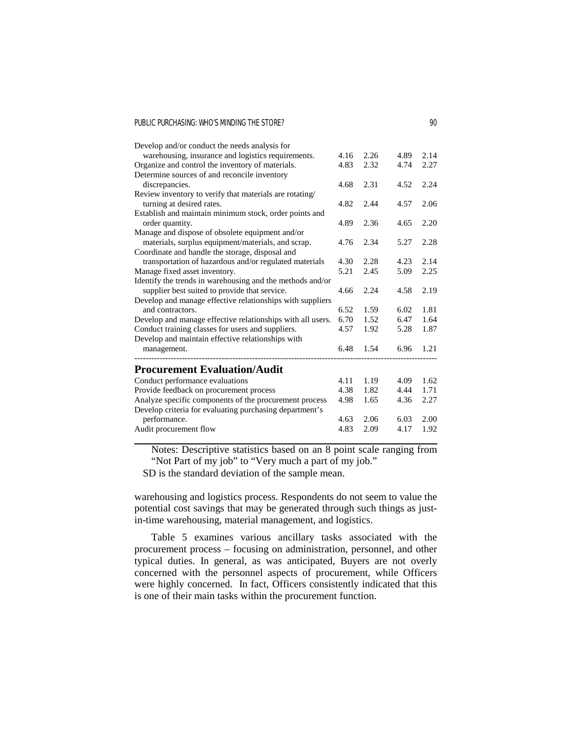| Develop and/or conduct the needs analysis for              |      |      |      |      |
|------------------------------------------------------------|------|------|------|------|
| warehousing, insurance and logistics requirements.         | 4.16 | 2.26 | 4.89 | 2.14 |
| Organize and control the inventory of materials.           | 4.83 | 2.32 | 4.74 | 2.27 |
| Determine sources of and reconcile inventory               |      |      |      |      |
| discrepancies.                                             | 4.68 | 2.31 | 4.52 | 2.24 |
| Review inventory to verify that materials are rotating/    |      |      |      |      |
| turning at desired rates.                                  | 4.82 | 2.44 | 4.57 | 2.06 |
| Establish and maintain minimum stock, order points and     |      |      |      |      |
| order quantity.                                            | 4.89 | 2.36 | 4.65 | 2.20 |
| Manage and dispose of obsolete equipment and/or            |      |      |      |      |
| materials, surplus equipment/materials, and scrap.         | 4.76 | 2.34 | 5.27 | 2.28 |
| Coordinate and handle the storage, disposal and            |      |      |      |      |
| transportation of hazardous and/or regulated materials     | 4.30 | 2.28 | 4.23 | 2.14 |
| Manage fixed asset inventory.                              | 5.21 | 2.45 | 5.09 | 2.25 |
| Identify the trends in warehousing and the methods and/or  |      |      |      |      |
| supplier best suited to provide that service.              | 4.66 | 2.24 | 4.58 | 2.19 |
| Develop and manage effective relationships with suppliers  |      |      |      |      |
| and contractors.                                           | 6.52 | 1.59 | 6.02 | 1.81 |
| Develop and manage effective relationships with all users. | 6.70 | 1.52 | 6.47 | 1.64 |
| Conduct training classes for users and suppliers.          | 4.57 | 1.92 | 5.28 | 1.87 |
| Develop and maintain effective relationships with          |      |      |      |      |
| management.                                                | 6.48 | 1.54 | 6.96 | 1.21 |
| <b>Procurement Evaluation/Audit</b>                        |      |      |      |      |
|                                                            | 4.11 | 1.19 | 4.09 | 1.62 |
| Conduct performance evaluations                            |      |      |      |      |
| Provide feedback on procurement process                    | 4.38 | 1.82 | 4.44 | 1.71 |
| Analyze specific components of the procurement process     | 4.98 | 1.65 | 4.36 | 2.27 |
| Develop criteria for evaluating purchasing department's    |      |      |      |      |
| performance.                                               | 4.63 | 2.06 | 6.03 | 2.00 |
| Audit procurement flow                                     | 4.83 | 2.09 | 4.17 | 1.92 |

Notes: Descriptive statistics based on an 8 point scale ranging from "Not Part of my job" to "Very much a part of my job."

SD is the standard deviation of the sample mean.

warehousing and logistics process. Respondents do not seem to value the potential cost savings that may be generated through such things as justin-time warehousing, material management, and logistics.

 Table 5 examines various ancillary tasks associated with the procurement process – focusing on administration, personnel, and other typical duties. In general, as was anticipated, Buyers are not overly concerned with the personnel aspects of procurement, while Officers were highly concerned. In fact, Officers consistently indicated that this is one of their main tasks within the procurement function.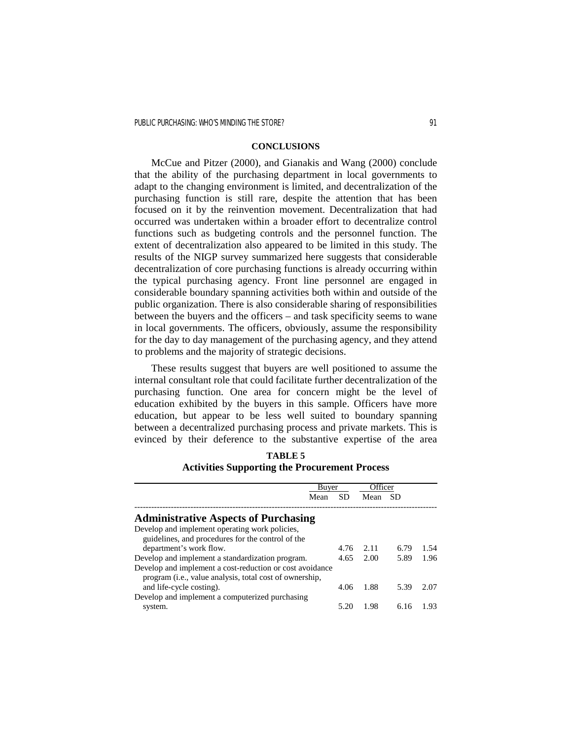## **CONCLUSIONS**

 McCue and Pitzer (2000), and Gianakis and Wang (2000) conclude that the ability of the purchasing department in local governments to adapt to the changing environment is limited, and decentralization of the purchasing function is still rare, despite the attention that has been focused on it by the reinvention movement. Decentralization that had occurred was undertaken within a broader effort to decentralize control functions such as budgeting controls and the personnel function. The extent of decentralization also appeared to be limited in this study. The results of the NIGP survey summarized here suggests that considerable decentralization of core purchasing functions is already occurring within the typical purchasing agency. Front line personnel are engaged in considerable boundary spanning activities both within and outside of the public organization. There is also considerable sharing of responsibilities between the buyers and the officers – and task specificity seems to wane in local governments. The officers, obviously, assume the responsibility for the day to day management of the purchasing agency, and they attend to problems and the majority of strategic decisions.

 These results suggest that buyers are well positioned to assume the internal consultant role that could facilitate further decentralization of the purchasing function. One area for concern might be the level of education exhibited by the buyers in this sample. Officers have more education, but appear to be less well suited to boundary spanning between a decentralized purchasing process and private markets. This is evinced by their deference to the substantive expertise of the area

| <b>TABLE 5</b>                                       |
|------------------------------------------------------|
| <b>Activities Supporting the Procurement Process</b> |

|                                                                  | Buyer |           | Officer |      |      |
|------------------------------------------------------------------|-------|-----------|---------|------|------|
|                                                                  | Mean  | <b>SD</b> | Mean    | -SD  |      |
| <b>Administrative Aspects of Purchasing</b>                      |       |           |         |      |      |
| Develop and implement operating work policies,                   |       |           |         |      |      |
| guidelines, and procedures for the control of the                |       |           |         |      |      |
| department's work flow.                                          |       | 4.76      | 2.11    | 6.79 | 1.54 |
| Develop and implement a standardization program.                 |       | 4.65      | 2.00    | 5.89 | 1.96 |
| Develop and implement a cost-reduction or cost avoidance         |       |           |         |      |      |
| program ( <i>i.e.</i> , value analysis, total cost of ownership, |       |           |         |      |      |
| and life-cycle costing).                                         |       | 4.06      | 1.88    | 5.39 | 2.07 |
| Develop and implement a computerized purchasing                  |       |           |         |      |      |
| system.                                                          |       | 5.20      | 1.98    | 6.16 | 1.93 |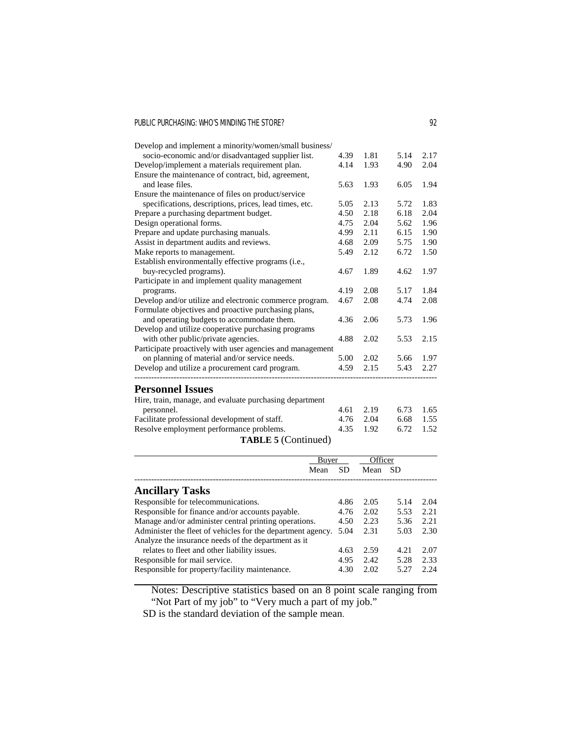| socio-economic and/or disadvantaged supplier list.<br>1.81<br>5.14<br>2.17<br>4.39<br>4.14<br>1.93<br>2.04<br>4.90<br>Ensure the maintenance of contract, bid, agreement,<br>and lease files.<br>1.93<br>6.05<br>1.94<br>5.63<br>specifications, descriptions, prices, lead times, etc.<br>1.83<br>2.13<br>5.72<br>5.05<br>4.50<br>2.18<br>6.18<br>2.04<br>2.04<br>1.96<br>4.75<br>5.62<br>2.11<br>4.99<br>6.15<br>1.90<br>2.09<br>4.68<br>5.75<br>1.90<br>2.12<br>6.72<br>1.50<br>5.49<br>buy-recycled programs).<br>1.97<br>4.67<br>1.89<br>4.62<br>2.08<br>5.17<br>1.84<br>4.19<br>programs.<br>2.08<br>4.67<br>4.74<br>2.08<br>and operating budgets to accommodate them.<br>4.36<br>2.06<br>1.96<br>5.73<br>with other public/private agencies.<br>4.88<br>2.02<br>5.53<br>2.15<br>on planning of material and/or service needs.<br>2.02<br>1.97<br>5.00<br>5.66<br>4.59<br>2.15<br>5.43<br>2.27<br><b>Personnel Issues</b><br>Hire, train, manage, and evaluate purchasing department<br>6.73<br>1.65<br>personnel.<br>4.61<br>2.19<br>1.55<br>4.76<br>2.04<br>6.68<br>Resolve employment performance problems.<br>6.72<br>4.35<br>1.92<br>1.52 | Develop and implement a minority/women/small business/    |  |  |
|-------------------------------------------------------------------------------------------------------------------------------------------------------------------------------------------------------------------------------------------------------------------------------------------------------------------------------------------------------------------------------------------------------------------------------------------------------------------------------------------------------------------------------------------------------------------------------------------------------------------------------------------------------------------------------------------------------------------------------------------------------------------------------------------------------------------------------------------------------------------------------------------------------------------------------------------------------------------------------------------------------------------------------------------------------------------------------------------------------------------------------------------------------|-----------------------------------------------------------|--|--|
|                                                                                                                                                                                                                                                                                                                                                                                                                                                                                                                                                                                                                                                                                                                                                                                                                                                                                                                                                                                                                                                                                                                                                       |                                                           |  |  |
|                                                                                                                                                                                                                                                                                                                                                                                                                                                                                                                                                                                                                                                                                                                                                                                                                                                                                                                                                                                                                                                                                                                                                       | Develop/implement a materials requirement plan.           |  |  |
|                                                                                                                                                                                                                                                                                                                                                                                                                                                                                                                                                                                                                                                                                                                                                                                                                                                                                                                                                                                                                                                                                                                                                       |                                                           |  |  |
|                                                                                                                                                                                                                                                                                                                                                                                                                                                                                                                                                                                                                                                                                                                                                                                                                                                                                                                                                                                                                                                                                                                                                       |                                                           |  |  |
|                                                                                                                                                                                                                                                                                                                                                                                                                                                                                                                                                                                                                                                                                                                                                                                                                                                                                                                                                                                                                                                                                                                                                       | Ensure the maintenance of files on product/service        |  |  |
|                                                                                                                                                                                                                                                                                                                                                                                                                                                                                                                                                                                                                                                                                                                                                                                                                                                                                                                                                                                                                                                                                                                                                       |                                                           |  |  |
|                                                                                                                                                                                                                                                                                                                                                                                                                                                                                                                                                                                                                                                                                                                                                                                                                                                                                                                                                                                                                                                                                                                                                       | Prepare a purchasing department budget.                   |  |  |
|                                                                                                                                                                                                                                                                                                                                                                                                                                                                                                                                                                                                                                                                                                                                                                                                                                                                                                                                                                                                                                                                                                                                                       | Design operational forms.                                 |  |  |
|                                                                                                                                                                                                                                                                                                                                                                                                                                                                                                                                                                                                                                                                                                                                                                                                                                                                                                                                                                                                                                                                                                                                                       | Prepare and update purchasing manuals.                    |  |  |
|                                                                                                                                                                                                                                                                                                                                                                                                                                                                                                                                                                                                                                                                                                                                                                                                                                                                                                                                                                                                                                                                                                                                                       | Assist in department audits and reviews.                  |  |  |
|                                                                                                                                                                                                                                                                                                                                                                                                                                                                                                                                                                                                                                                                                                                                                                                                                                                                                                                                                                                                                                                                                                                                                       | Make reports to management.                               |  |  |
|                                                                                                                                                                                                                                                                                                                                                                                                                                                                                                                                                                                                                                                                                                                                                                                                                                                                                                                                                                                                                                                                                                                                                       | Establish environmentally effective programs (i.e.,       |  |  |
|                                                                                                                                                                                                                                                                                                                                                                                                                                                                                                                                                                                                                                                                                                                                                                                                                                                                                                                                                                                                                                                                                                                                                       |                                                           |  |  |
|                                                                                                                                                                                                                                                                                                                                                                                                                                                                                                                                                                                                                                                                                                                                                                                                                                                                                                                                                                                                                                                                                                                                                       | Participate in and implement quality management           |  |  |
|                                                                                                                                                                                                                                                                                                                                                                                                                                                                                                                                                                                                                                                                                                                                                                                                                                                                                                                                                                                                                                                                                                                                                       |                                                           |  |  |
|                                                                                                                                                                                                                                                                                                                                                                                                                                                                                                                                                                                                                                                                                                                                                                                                                                                                                                                                                                                                                                                                                                                                                       | Develop and/or utilize and electronic commerce program.   |  |  |
|                                                                                                                                                                                                                                                                                                                                                                                                                                                                                                                                                                                                                                                                                                                                                                                                                                                                                                                                                                                                                                                                                                                                                       | Formulate objectives and proactive purchasing plans,      |  |  |
|                                                                                                                                                                                                                                                                                                                                                                                                                                                                                                                                                                                                                                                                                                                                                                                                                                                                                                                                                                                                                                                                                                                                                       |                                                           |  |  |
|                                                                                                                                                                                                                                                                                                                                                                                                                                                                                                                                                                                                                                                                                                                                                                                                                                                                                                                                                                                                                                                                                                                                                       | Develop and utilize cooperative purchasing programs       |  |  |
|                                                                                                                                                                                                                                                                                                                                                                                                                                                                                                                                                                                                                                                                                                                                                                                                                                                                                                                                                                                                                                                                                                                                                       |                                                           |  |  |
|                                                                                                                                                                                                                                                                                                                                                                                                                                                                                                                                                                                                                                                                                                                                                                                                                                                                                                                                                                                                                                                                                                                                                       | Participate proactively with user agencies and management |  |  |
|                                                                                                                                                                                                                                                                                                                                                                                                                                                                                                                                                                                                                                                                                                                                                                                                                                                                                                                                                                                                                                                                                                                                                       |                                                           |  |  |
|                                                                                                                                                                                                                                                                                                                                                                                                                                                                                                                                                                                                                                                                                                                                                                                                                                                                                                                                                                                                                                                                                                                                                       | Develop and utilize a procurement card program.           |  |  |
|                                                                                                                                                                                                                                                                                                                                                                                                                                                                                                                                                                                                                                                                                                                                                                                                                                                                                                                                                                                                                                                                                                                                                       |                                                           |  |  |
|                                                                                                                                                                                                                                                                                                                                                                                                                                                                                                                                                                                                                                                                                                                                                                                                                                                                                                                                                                                                                                                                                                                                                       |                                                           |  |  |
|                                                                                                                                                                                                                                                                                                                                                                                                                                                                                                                                                                                                                                                                                                                                                                                                                                                                                                                                                                                                                                                                                                                                                       |                                                           |  |  |
|                                                                                                                                                                                                                                                                                                                                                                                                                                                                                                                                                                                                                                                                                                                                                                                                                                                                                                                                                                                                                                                                                                                                                       | Facilitate professional development of staff.             |  |  |
|                                                                                                                                                                                                                                                                                                                                                                                                                                                                                                                                                                                                                                                                                                                                                                                                                                                                                                                                                                                                                                                                                                                                                       |                                                           |  |  |
|                                                                                                                                                                                                                                                                                                                                                                                                                                                                                                                                                                                                                                                                                                                                                                                                                                                                                                                                                                                                                                                                                                                                                       | <b>TABLE 5 (Continued)</b>                                |  |  |

|                                                             | Buyer |      | Officer |           |      |
|-------------------------------------------------------------|-------|------|---------|-----------|------|
|                                                             | Mean  | SD   | Mean    | <b>SD</b> |      |
| <b>Ancillary Tasks</b>                                      |       |      |         |           |      |
| Responsible for telecommunications.                         |       | 4.86 | 2.05    | 5.14      | 2.04 |
| Responsible for finance and/or accounts payable.            |       | 4.76 | 2.02    | 5.53      | 2.21 |
| Manage and/or administer central printing operations.       |       | 4.50 | 2.23    | 5.36      | 2.21 |
| Administer the fleet of vehicles for the department agency. |       | 5.04 | 2.31    | 5.03      | 2.30 |
| Analyze the insurance needs of the department as it         |       |      |         |           |      |
| relates to fleet and other liability issues.                |       | 4.63 | 2.59    | 4.21      | 2.07 |
| Responsible for mail service.                               |       | 4.95 | 2.42    | 5.28      | 2.33 |
| Responsible for property/facility maintenance.              |       | 4.30 | 2.02    | 5.27      | 2.24 |

Notes: Descriptive statistics based on an 8 point scale ranging from "Not Part of my job" to "Very much a part of my job."

SD is the standard deviation of the sample mean.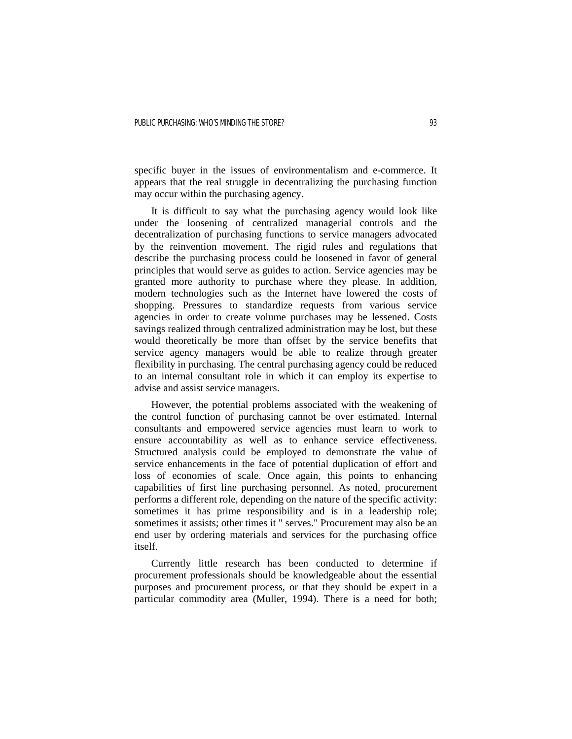specific buyer in the issues of environmentalism and e-commerce. It appears that the real struggle in decentralizing the purchasing function may occur within the purchasing agency.

 It is difficult to say what the purchasing agency would look like under the loosening of centralized managerial controls and the decentralization of purchasing functions to service managers advocated by the reinvention movement. The rigid rules and regulations that describe the purchasing process could be loosened in favor of general principles that would serve as guides to action. Service agencies may be granted more authority to purchase where they please. In addition, modern technologies such as the Internet have lowered the costs of shopping. Pressures to standardize requests from various service agencies in order to create volume purchases may be lessened. Costs savings realized through centralized administration may be lost, but these would theoretically be more than offset by the service benefits that service agency managers would be able to realize through greater flexibility in purchasing. The central purchasing agency could be reduced to an internal consultant role in which it can employ its expertise to advise and assist service managers.

 However, the potential problems associated with the weakening of the control function of purchasing cannot be over estimated. Internal consultants and empowered service agencies must learn to work to ensure accountability as well as to enhance service effectiveness. Structured analysis could be employed to demonstrate the value of service enhancements in the face of potential duplication of effort and loss of economies of scale. Once again, this points to enhancing capabilities of first line purchasing personnel. As noted, procurement performs a different role, depending on the nature of the specific activity: sometimes it has prime responsibility and is in a leadership role; sometimes it assists; other times it " serves." Procurement may also be an end user by ordering materials and services for the purchasing office itself.

 Currently little research has been conducted to determine if procurement professionals should be knowledgeable about the essential purposes and procurement process, or that they should be expert in a particular commodity area (Muller, 1994). There is a need for both;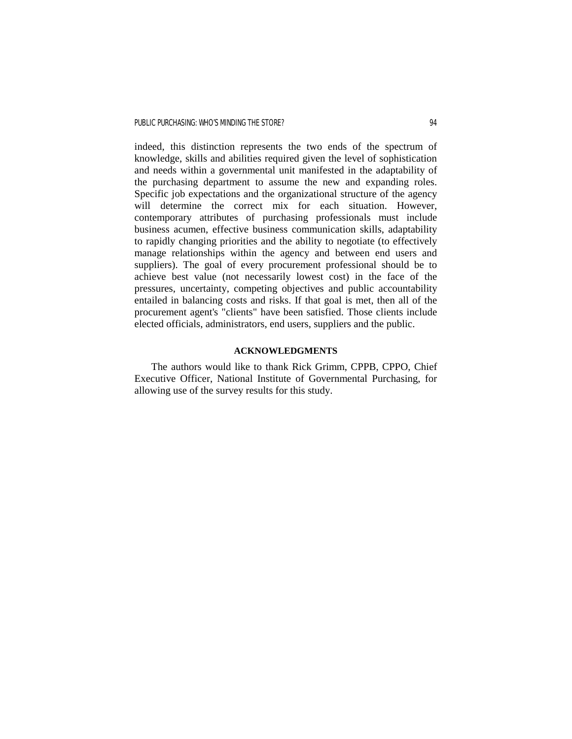indeed, this distinction represents the two ends of the spectrum of knowledge, skills and abilities required given the level of sophistication and needs within a governmental unit manifested in the adaptability of the purchasing department to assume the new and expanding roles. Specific job expectations and the organizational structure of the agency will determine the correct mix for each situation. However, contemporary attributes of purchasing professionals must include business acumen, effective business communication skills, adaptability to rapidly changing priorities and the ability to negotiate (to effectively manage relationships within the agency and between end users and suppliers). The goal of every procurement professional should be to achieve best value (not necessarily lowest cost) in the face of the pressures, uncertainty, competing objectives and public accountability entailed in balancing costs and risks. If that goal is met, then all of the procurement agent's "clients" have been satisfied. Those clients include elected officials, administrators, end users, suppliers and the public.

# **ACKNOWLEDGMENTS**

 The authors would like to thank Rick Grimm, CPPB, CPPO, Chief Executive Officer, National Institute of Governmental Purchasing, for allowing use of the survey results for this study.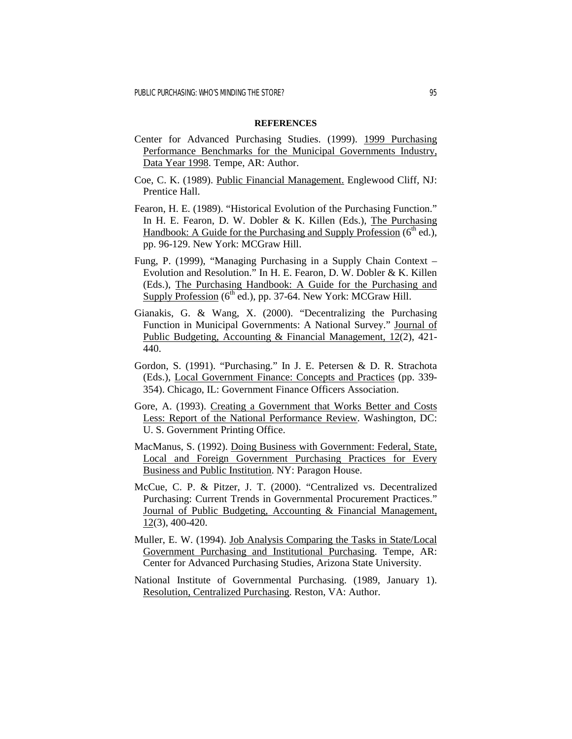#### **REFERENCES**

- Center for Advanced Purchasing Studies. (1999). 1999 Purchasing Performance Benchmarks for the Municipal Governments Industry, Data Year 1998. Tempe, AR: Author.
- Coe, C. K. (1989). Public Financial Management. Englewood Cliff, NJ: Prentice Hall.
- Fearon, H. E. (1989). "Historical Evolution of the Purchasing Function." In H. E. Fearon, D. W. Dobler & K. Killen (Eds.), The Purchasing Handbook: A Guide for the Purchasing and Supply Profession  $(6<sup>th</sup>$  ed.), pp. 96-129. New York: MCGraw Hill.
- Fung, P. (1999), "Managing Purchasing in a Supply Chain Context Evolution and Resolution." In H. E. Fearon, D. W. Dobler & K. Killen (Eds.), The Purchasing Handbook: A Guide for the Purchasing and Supply Profession  $(6<sup>th</sup>$  ed.), pp. 37-64. New York: MCGraw Hill.
- Gianakis, G. & Wang, X. (2000). "Decentralizing the Purchasing Function in Municipal Governments: A National Survey." Journal of Public Budgeting, Accounting & Financial Management, 12(2), 421- 440.
- Gordon, S. (1991). "Purchasing." In J. E. Petersen & D. R. Strachota (Eds.), Local Government Finance: Concepts and Practices (pp. 339- 354). Chicago, IL: Government Finance Officers Association.
- Gore, A. (1993). Creating a Government that Works Better and Costs Less: Report of the National Performance Review. Washington, DC: U. S. Government Printing Office.
- MacManus, S. (1992). Doing Business with Government: Federal, State, Local and Foreign Government Purchasing Practices for Every Business and Public Institution. NY: Paragon House.
- McCue, C. P. & Pitzer, J. T. (2000). "Centralized vs. Decentralized Purchasing: Current Trends in Governmental Procurement Practices." Journal of Public Budgeting, Accounting & Financial Management, 12(3), 400-420.
- Muller, E. W. (1994). Job Analysis Comparing the Tasks in State/Local Government Purchasing and Institutional Purchasing. Tempe, AR: Center for Advanced Purchasing Studies, Arizona State University.
- National Institute of Governmental Purchasing. (1989, January 1). Resolution, Centralized Purchasing. Reston, VA: Author.